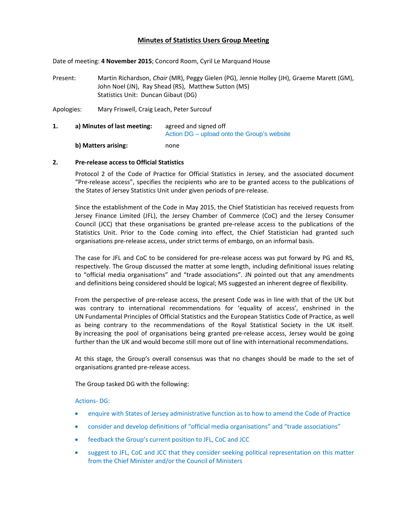# **Minutes of Statistics Users Group Meeting**

Date of meeting: **4 November 2015**; Concord Room, Cyril Le Marquand House

Present: Martin Richardson, *Chair* (MR), Peggy Gielen (PG), Jennie Holley (JH), Graeme Marett (GM), John Noel (JN), Ray Shead (RS), Matthew Sutton (MS) Statistics Unit: Duncan Gibaut (DG)

Apologies: Mary Friswell, Craig Leach, Peter Surcouf

**1. a) Minutes of last meeting:** agreed and signed off Action DG – upload onto the Group's website **b) Matters arising:**  none

## **2. Pre‐release access to Official Statistics**

Protocol 2 of the Code of Practice for Official Statistics in Jersey, and the associated document "Pre‐release access", specifies the recipients who are to be granted access to the publications of the States of Jersey Statistics Unit under given periods of pre‐release.

Since the establishment of the Code in May 2015, the Chief Statistician has received requests from Jersey Finance Limited (JFL), the Jersey Chamber of Commerce (CoC) and the Jersey Consumer Council (JCC) that these organisations be granted pre‐release access to the publications of the Statistics Unit. Prior to the Code coming into effect, the Chief Statistician had granted such organisations pre‐release access, under strict terms of embargo, on an informal basis.

The case for JFL and CoC to be considered for pre-release access was put forward by PG and RS, respectively. The Group discussed the matter at some length, including definitional issues relating to "official media organisations" and "trade associations". JN pointed out that any amendments and definitions being considered should be logical; MS suggested an inherent degree of flexibility.

From the perspective of pre-release access, the present Code was in line with that of the UK but was contrary to international recommendations for 'equality of access', enshrined in the UN Fundamental Principles of Official Statistics and the European Statistics Code of Practice, as well as being contrary to the recommendations of the Royal Statistical Society in the UK itself. By increasing the pool of organisations being granted pre-release access, Jersey would be going further than the UK and would become still more out of line with international recommendations.

At this stage, the Group's overall consensus was that no changes should be made to the set of organisations granted pre‐release access.

The Group tasked DG with the following:

Actions‐ DG:

- enquire with States of Jersey administrative function as to how to amend the Code of Practice
- consider and develop definitions of "official media organisations" and "trade associations"
- feedback the Group's current position to JFL, CoC and JCC
- suggest to JFL, CoC and JCC that they consider seeking political representation on this matter from the Chief Minister and/or the Council of Ministers